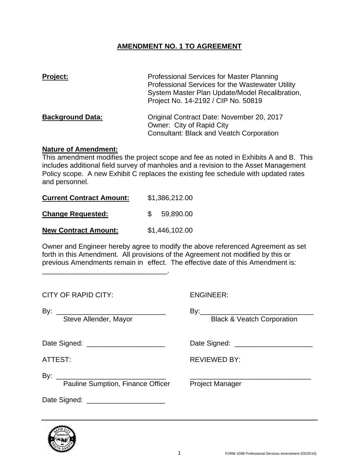# **AMENDMENT NO. 1 TO AGREEMENT**

| <b>Project:</b>         | Professional Services for Master Planning<br>Professional Services for the Wastewater Utility<br>System Master Plan Update/Model Recalibration,<br>Project No. 14-2192 / CIP No. 50819 |
|-------------------------|----------------------------------------------------------------------------------------------------------------------------------------------------------------------------------------|
| <b>Background Data:</b> | Original Contract Date: November 20, 2017<br>Owner: City of Rapid City<br><b>Consultant: Black and Veatch Corporation</b>                                                              |

## **Nature of Amendment:**

This amendment modifies the project scope and fee as noted in Exhibits A and B. This includes additional field survey of manholes and a revision to the Asset Management Policy scope. A new Exhibit C replaces the existing fee schedule with updated rates and personnel.

| <b>Current Contract Amount:</b> | \$1,386,212.00 |  |  |  |
|---------------------------------|----------------|--|--|--|
| <b>Change Requested:</b>        | 59,890.00      |  |  |  |
| <b>New Contract Amount:</b>     | \$1,446,102.00 |  |  |  |

\_\_\_\_\_\_\_\_\_\_\_\_\_\_\_\_\_\_\_\_\_\_\_\_\_\_\_\_\_\_\_\_.

Owner and Engineer hereby agree to modify the above referenced Agreement as set forth in this Amendment. All provisions of the Agreement not modified by this or previous Amendments remain in effect. The effective date of this Amendment is:

| <b>CITY OF RAPID CITY:</b>               | <b>ENGINEER:</b>                      |  |  |  |
|------------------------------------------|---------------------------------------|--|--|--|
| Steve Allender, Mayor                    | <b>Black &amp; Veatch Corporation</b> |  |  |  |
| Date Signed: _________________________   |                                       |  |  |  |
| ATTEST:                                  | <b>REVIEWED BY:</b>                   |  |  |  |
| <b>Pauline Sumption, Finance Officer</b> | <b>Project Manager</b>                |  |  |  |
| Date Signed: ______________________      |                                       |  |  |  |

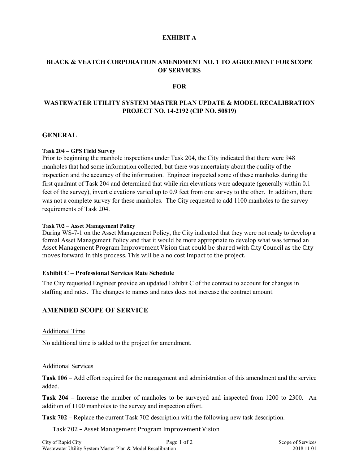### **EXHIBIT A**

## **BLACK & VEATCH CORPORATION AMENDMENT NO. 1 TO AGREEMENT FOR SCOPE OF SERVICES**

### **FOR**

## **WASTEWATER UTILITY SYSTEM MASTER PLAN UPDATE & MODEL RECALIBRATION PROJECT NO. 14-2192 (CIP NO. 50819)**

### **GENERAL**

#### **Task 204 – GPS Field Survey**

Prior to beginning the manhole inspections under Task 204, the City indicated that there were 948 manholes that had some information collected, but there was uncertainty about the quality of the inspection and the accuracy of the information. Engineer inspected some of these manholes during the first quadrant of Task 204 and determined that while rim elevations were adequate (generally within 0.1 feet of the survey), invert elevations varied up to 0.9 feet from one survey to the other. In addition, there was not a complete survey for these manholes. The City requested to add 1100 manholes to the survey requirements of Task 204.

#### **Task 702 – Asset Management Policy**

During WS-7-1 on the Asset Management Policy, the City indicated that they were not ready to develop a formal Asset Management Policy and that it would be more appropriate to develop what was termed an Asset Management Program Improvement Vision that could be shared with City Council as the City moves forward in this process. This will be a no cost impact to the project.

#### **Exhibit C – Professional Services Rate Schedule**

The City requested Engineer provide an updated Exhibit C of the contract to account for changes in staffing and rates. The changes to names and rates does not increase the contract amount.

### **AMENDED SCOPE OF SERVICE**

#### Additional Time

No additional time is added to the project for amendment.

#### Additional Services

**Task 106** – Add effort required for the management and administration of this amendment and the service added.

**Task 204** – Increase the number of manholes to be surveyed and inspected from 1200 to 2300. An addition of 1100 manholes to the survey and inspection effort.

**Task 702** – Replace the current Task 702 description with the following new task description.

#### Task 702 – Asset Management Program Improvement Vision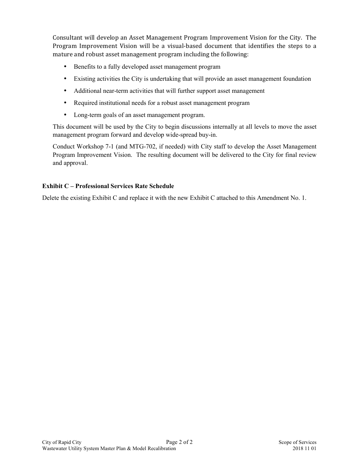Consultant will develop an Asset Management Program Improvement Vision for the City. The Program Improvement Vision will be a visual-based document that identifies the steps to a mature and robust asset management program including the following:

- Benefits to a fully developed asset management program
- Existing activities the City is undertaking that will provide an asset management foundation
- Additional near-term activities that will further support asset management
- Required institutional needs for a robust asset management program
- Long-term goals of an asset management program.

This document will be used by the City to begin discussions internally at all levels to move the asset management program forward and develop wide-spread buy-in.

Conduct Workshop 7-1 (and MTG-702, if needed) with City staff to develop the Asset Management Program Improvement Vision. The resulting document will be delivered to the City for final review and approval.

## **Exhibit C – Professional Services Rate Schedule**

Delete the existing Exhibit C and replace it with the new Exhibit C attached to this Amendment No. 1.